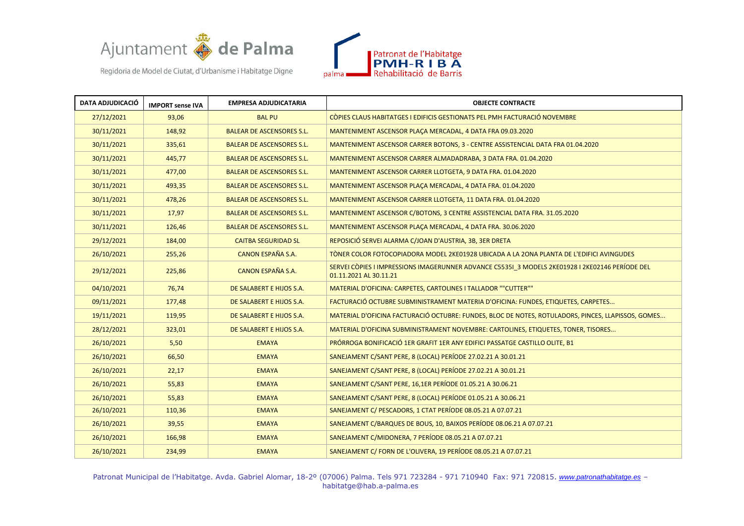



| <b>DATA ADJUDICACIÓ</b> | <b>IMPORT sense IVA</b> | <b>EMPRESA ADJUDICATARIA</b>     | <b>OBJECTE CONTRACTE</b>                                                                                                  |
|-------------------------|-------------------------|----------------------------------|---------------------------------------------------------------------------------------------------------------------------|
| 27/12/2021              | 93,06                   | <b>BAL PU</b>                    | COPIES CLAUS HABITATGES I EDIFICIS GESTIONATS PEL PMH FACTURACIÓ NOVEMBRE                                                 |
| 30/11/2021              | 148,92                  | <b>BALEAR DE ASCENSORES S.L.</b> | MANTENIMENT ASCENSOR PLACA MERCADAL, 4 DATA FRA 09.03.2020                                                                |
| 30/11/2021              | 335,61                  | <b>BALEAR DE ASCENSORES S.L.</b> | MANTENIMENT ASCENSOR CARRER BOTONS, 3 - CENTRE ASSISTENCIAL DATA FRA 01.04.2020                                           |
| 30/11/2021              | 445,77                  | <b>BALEAR DE ASCENSORES S.L.</b> | MANTENIMENT ASCENSOR CARRER ALMADADRABA, 3 DATA FRA. 01.04.2020                                                           |
| 30/11/2021              | 477,00                  | <b>BALEAR DE ASCENSORES S.L.</b> | MANTENIMENT ASCENSOR CARRER LLOTGETA, 9 DATA FRA. 01.04.2020                                                              |
| 30/11/2021              | 493,35                  | <b>BALEAR DE ASCENSORES S.L.</b> | MANTENIMENT ASCENSOR PLACA MERCADAL, 4 DATA FRA. 01.04.2020                                                               |
| 30/11/2021              | 478,26                  | <b>BALEAR DE ASCENSORES S.L.</b> | MANTENIMENT ASCENSOR CARRER LLOTGETA, 11 DATA FRA. 01.04.2020                                                             |
| 30/11/2021              | 17,97                   | <b>BALEAR DE ASCENSORES S.L.</b> | MANTENIMENT ASCENSOR C/BOTONS, 3 CENTRE ASSISTENCIAL DATA FRA. 31.05.2020                                                 |
| 30/11/2021              | 126,46                  | <b>BALEAR DE ASCENSORES S.L.</b> | MANTENIMENT ASCENSOR PLACA MERCADAL, 4 DATA FRA. 30.06.2020                                                               |
| 29/12/2021              | 184,00                  | <b>CAITBA SEGURIDAD SL</b>       | REPOSICIÓ SERVEI ALARMA C/JOAN D'AUSTRIA, 3B, 3ER DRETA                                                                   |
| 26/10/2021              | 255,26                  | CANON ESPAÑA S.A.                | TÒNER COLOR FOTOCOPIADORA MODEL 2KE01928 UBICADA A LA 20NA PLANTA DE L'EDIFICI AVINGUDES                                  |
| 29/12/2021              | 225,86                  | CANON ESPAÑA S.A.                | SERVEI CÒPIES I IMPRESSIONS IMAGERUNNER ADVANCE C5535I 3 MODELS 2KE01928 I 2KE02146 PERÍODE DEL<br>01.11.2021 AL 30.11.21 |
| 04/10/2021              | 76,74                   | DE SALABERT E HIJOS S.A.         | MATERIAL D'OFICINA: CARPETES, CARTOLINES I TALLADOR ""CUTTER""                                                            |
| 09/11/2021              | 177,48                  | DE SALABERT E HIJOS S.A.         | FACTURACIÓ OCTUBRE SUBMINISTRAMENT MATERIA D'OFICINA: FUNDES, ETIQUETES, CARPETES                                         |
| 19/11/2021              | 119,95                  | DE SALABERT E HIJOS S.A.         | MATERIAL D'OFICINA FACTURACIÓ OCTUBRE: FUNDES, BLOC DE NOTES, ROTULADORS, PINCES, LLAPISSOS, GOMES                        |
| 28/12/2021              | 323,01                  | DE SALABERT E HIJOS S.A.         | MATERIAL D'OFICINA SUBMINISTRAMENT NOVEMBRE: CARTOLINES, ETIQUETES, TONER, TISORES                                        |
| 26/10/2021              | 5,50                    | <b>EMAYA</b>                     | PRÓRROGA BONIFICACIÓ 1ER GRAFIT 1ER ANY EDIFICI PASSATGE CASTILLO OLITE, B1                                               |
| 26/10/2021              | 66,50                   | <b>EMAYA</b>                     | SANEJAMENT C/SANT PERE, 8 (LOCAL) PERÍODE 27.02.21 A 30.01.21                                                             |
| 26/10/2021              | 22,17                   | <b>EMAYA</b>                     | SANEJAMENT C/SANT PERE, 8 (LOCAL) PERÍODE 27.02.21 A 30.01.21                                                             |
| 26/10/2021              | 55,83                   | <b>EMAYA</b>                     | SANEJAMENT C/SANT PERE, 16,1ER PERÍODE 01.05.21 A 30.06.21                                                                |
| 26/10/2021              | 55,83                   | <b>EMAYA</b>                     | SANEJAMENT C/SANT PERE, 8 (LOCAL) PERÍODE 01.05.21 A 30.06.21                                                             |
| 26/10/2021              | 110,36                  | <b>EMAYA</b>                     | SANEJAMENT C/ PESCADORS, 1 CTAT PERÍODE 08.05.21 A 07.07.21                                                               |
| 26/10/2021              | 39,55                   | <b>EMAYA</b>                     | SANEJAMENT C/BARQUES DE BOUS, 10, BAIXOS PERÍODE 08.06.21 A 07.07.21                                                      |
| 26/10/2021              | 166,98                  | <b>EMAYA</b>                     | SANEJAMENT C/MIDONERA, 7 PERÍODE 08.05.21 A 07.07.21                                                                      |
| 26/10/2021              | 234,99                  | <b>EMAYA</b>                     | SANEJAMENT C/ FORN DE L'OLIVERA, 19 PERÍODE 08.05.21 A 07.07.21                                                           |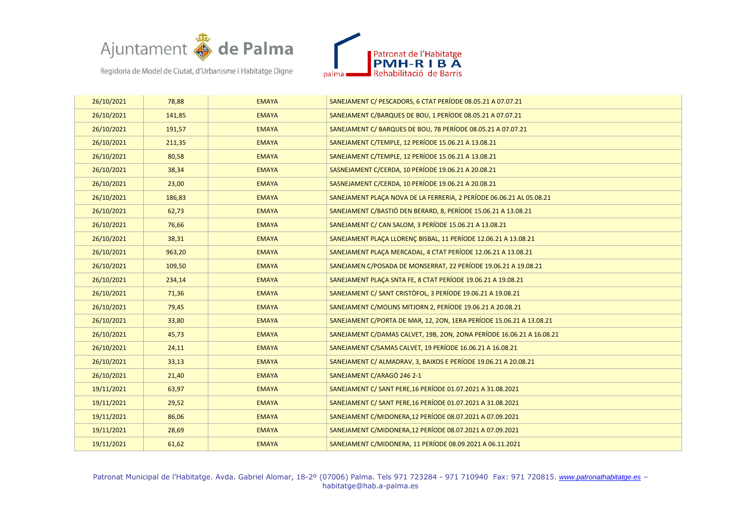



| 26/10/2021 | 78,88  | <b>EMAYA</b> | SANEJAMENT C/ PESCADORS, 6 CTAT PERÍODE 08.05.21 A 07.07.21           |
|------------|--------|--------------|-----------------------------------------------------------------------|
| 26/10/2021 | 141,85 | <b>EMAYA</b> | SANEJAMENT C/BARQUES DE BOU, 1 PERÍODE 08.05.21 A 07.07.21            |
| 26/10/2021 | 191,57 | <b>EMAYA</b> | SANEJAMENT C/ BARQUES DE BOU, 7B PERÍODE 08.05.21 A 07.07.21          |
| 26/10/2021 | 211,35 | <b>EMAYA</b> | SANEJAMENT C/TEMPLE, 12 PERÍODE 15.06.21 A 13.08.21                   |
| 26/10/2021 | 80,58  | <b>EMAYA</b> | SANEJAMENT C/TEMPLE, 12 PERÍODE 15.06.21 A 13.08.21                   |
| 26/10/2021 | 38,34  | <b>EMAYA</b> | SASNEJAMENT C/CERDA, 10 PERÍODE 19.06.21 A 20.08.21                   |
| 26/10/2021 | 23,00  | <b>EMAYA</b> | SASNEJAMENT C/CERDA, 10 PERÍODE 19.06.21 A 20.08.21                   |
| 26/10/2021 | 186,83 | <b>EMAYA</b> | SANEJAMENT PLACA NOVA DE LA FERRERIA, 2 PERÍODE 06.06.21 AL 05.08.21  |
| 26/10/2021 | 62,73  | <b>EMAYA</b> | SANEJAMENT C/BASTIÓ DEN BERARD, 8, PERÍODE 15.06.21 A 13.08.21        |
| 26/10/2021 | 76,66  | <b>EMAYA</b> | SANEJAMENT C/ CAN SALOM, 3 PERÍODE 15.06.21 A 13.08.21                |
| 26/10/2021 | 38,31  | <b>EMAYA</b> | SANEJAMENT PLACA LLORENC BISBAL, 11 PERÍODE 12.06.21 A 13.08.21       |
| 26/10/2021 | 963,20 | <b>EMAYA</b> | SANEJAMENT PLACA MERCADAL, 4 CTAT PERÍODE 12.06.21 A 13.08.21         |
| 26/10/2021 | 109,50 | <b>EMAYA</b> | SANEJAMEN C/POSADA DE MONSERRAT, 22 PERÍODE 19.06.21 A 19.08.21       |
| 26/10/2021 | 234,14 | <b>EMAYA</b> | SANEJAMENT PLACA SNTA FE, 8 CTAT PERÍODE 19.06.21 A 19.08.21          |
| 26/10/2021 | 71,36  | <b>EMAYA</b> | SANEJAMENT C/ SANT CRISTÒFOL, 3 PERÍODE 19.06.21 A 19.08.21           |
| 26/10/2021 | 79,45  | <b>EMAYA</b> | SANEJAMENT C/MOLINS MITJORN 2, PERÍODE 19.06.21 A 20.08.21            |
| 26/10/2021 | 33,80  | <b>EMAYA</b> | SANEJAMENT C/PORTA DE MAR, 12, 20N, 1ERA PERÍODE 15.06.21 A 13.08.21  |
| 26/10/2021 | 45,73  | <b>EMAYA</b> | SANEJAMENT C/DAMAS CALVET, 19B, 2ON, 2ONA PERÍODE 16.06.21 A 16.08.21 |
| 26/10/2021 | 24,11  | <b>EMAYA</b> | SANEJAMENT C/SAMAS CALVET, 19 PERÍODE 16.06.21 A 16.08.21             |
| 26/10/2021 | 33,13  | <b>EMAYA</b> | SANEJAMENT C/ ALMADRAV, 3, BAIXOS E PERÍODE 19.06.21 A 20.08.21       |
| 26/10/2021 | 21,40  | <b>EMAYA</b> | SANEJAMENT C/ARAGÓ 246 2-1                                            |
| 19/11/2021 | 63,97  | <b>EMAYA</b> | SANEJAMENT C/ SANT PERE, 16 PERÍODE 01.07.2021 A 31.08.2021           |
| 19/11/2021 | 29,52  | <b>EMAYA</b> | SANEJAMENT C/ SANT PERE, 16 PERÍODE 01.07.2021 A 31.08.2021           |
| 19/11/2021 | 86,06  | <b>EMAYA</b> | SANEJAMENT C/MIDONERA, 12 PERÍODE 08.07.2021 A 07.09.2021             |
| 19/11/2021 | 28,69  | <b>EMAYA</b> | SANEJAMENT C/MIDONERA, 12 PERÍODE 08.07.2021 A 07.09.2021             |
| 19/11/2021 | 61,62  | <b>EMAYA</b> | SANEJAMENT C/MIDONERA, 11 PERÍODE 08.09.2021 A 06.11.2021             |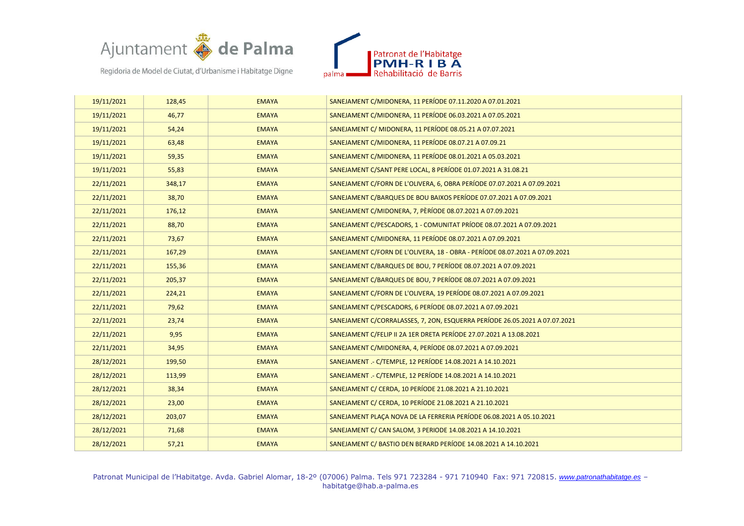



| 19/11/2021 | 128,45 | <b>EMAYA</b> | SANEJAMENT C/MIDONERA, 11 PERÍODE 07.11.2020 A 07.01.2021                   |
|------------|--------|--------------|-----------------------------------------------------------------------------|
| 19/11/2021 | 46,77  | <b>EMAYA</b> | SANEJAMENT C/MIDONERA, 11 PERÍODE 06.03.2021 A 07.05.2021                   |
| 19/11/2021 | 54,24  | <b>EMAYA</b> | SANEJAMENT C/ MIDONERA, 11 PERÍODE 08.05.21 A 07.07.2021                    |
| 19/11/2021 | 63,48  | <b>EMAYA</b> | SANEJAMENT C/MIDONERA, 11 PERÍODE 08.07.21 A 07.09.21                       |
| 19/11/2021 | 59,35  | <b>EMAYA</b> | SANEJAMENT C/MIDONERA, 11 PERÍODE 08.01.2021 A 05.03.2021                   |
| 19/11/2021 | 55,83  | <b>EMAYA</b> | SANEJAMENT C/SANT PERE LOCAL, 8 PERÍODE 01.07.2021 A 31.08.21               |
| 22/11/2021 | 348,17 | <b>EMAYA</b> | SANEJAMENT C/FORN DE L'OLIVERA, 6, OBRA PERÍODE 07.07.2021 A 07.09.2021     |
| 22/11/2021 | 38,70  | <b>EMAYA</b> | SANEJAMENT C/BARQUES DE BOU BAIXOS PERÍODE 07.07.2021 A 07.09.2021          |
| 22/11/2021 | 176,12 | <b>EMAYA</b> | SANEJAMENT C/MIDONERA, 7, PÈRÍODE 08.07.2021 A 07.09.2021                   |
| 22/11/2021 | 88,70  | <b>EMAYA</b> | SANEJAMENT C/PESCADORS, 1 - COMUNITAT PRÍODE 08.07.2021 A 07.09.2021        |
| 22/11/2021 | 73,67  | <b>EMAYA</b> | SANEJAMENT C/MIDONERA, 11 PERÍODE 08.07.2021 A 07.09.2021                   |
| 22/11/2021 | 167,29 | <b>EMAYA</b> | SANEJAMENT C/FORN DE L'OLIVERA, 18 - OBRA - PERÍODE 08.07.2021 A 07.09.2021 |
| 22/11/2021 | 155,36 | <b>EMAYA</b> | SANEJAMENT C/BARQUES DE BOU, 7 PERÍODE 08.07.2021 A 07.09.2021              |
| 22/11/2021 | 205,37 | <b>EMAYA</b> | SANEJAMENT C/BARQUES DE BOU, 7 PERÍODE 08.07.2021 A 07.09.2021              |
| 22/11/2021 | 224,21 | <b>EMAYA</b> | SANEJAMENT C/FORN DE L'OLIVERA, 19 PERÍODE 08.07.2021 A 07.09.2021          |
| 22/11/2021 | 79,62  | <b>EMAYA</b> | SANEJAMENT C/PESCADORS, 6 PERÍODE 08.07.2021 A 07.09.2021                   |
| 22/11/2021 | 23,74  | <b>EMAYA</b> | SANEJAMENT C/CORRALASSES, 7, 2ON, ESQUERRA PERÍODE 26.05.2021 A 07.07.2021  |
| 22/11/2021 | 9,95   | <b>EMAYA</b> | SANEJAMENT C/FELIP II 2A 1ER DRETA PERÍODE 27.07.2021 A 13.08.2021          |
| 22/11/2021 | 34,95  | <b>EMAYA</b> | SANEJAMENT C/MIDONERA, 4, PERÍODE 08.07.2021 A 07.09.2021                   |
| 28/12/2021 | 199,50 | <b>EMAYA</b> | SANEJAMENT .- C/TEMPLE, 12 PERÍODE 14.08.2021 A 14.10.2021                  |
| 28/12/2021 | 113,99 | <b>EMAYA</b> | SANEJAMENT .- C/TEMPLE, 12 PERÍODE 14.08.2021 A 14.10.2021                  |
| 28/12/2021 | 38,34  | <b>EMAYA</b> | SANEJAMENT C/ CERDA, 10 PERÍODE 21.08.2021 A 21.10.2021                     |
| 28/12/2021 | 23,00  | <b>EMAYA</b> | SANEJAMENT C/ CERDA, 10 PERÍODE 21.08.2021 A 21.10.2021                     |
| 28/12/2021 | 203,07 | <b>EMAYA</b> | SANEJAMENT PLAÇA NOVA DE LA FERRERIA PERÍODE 06.08.2021 A 05.10.2021        |
| 28/12/2021 | 71,68  | <b>EMAYA</b> | SANEJAMENT C/ CAN SALOM, 3 PERIODE 14.08.2021 A 14.10.2021                  |
| 28/12/2021 | 57,21  | <b>EMAYA</b> | SANEJAMENT C/ BASTIO DEN BERARD PERÍODE 14.08.2021 A 14.10.2021             |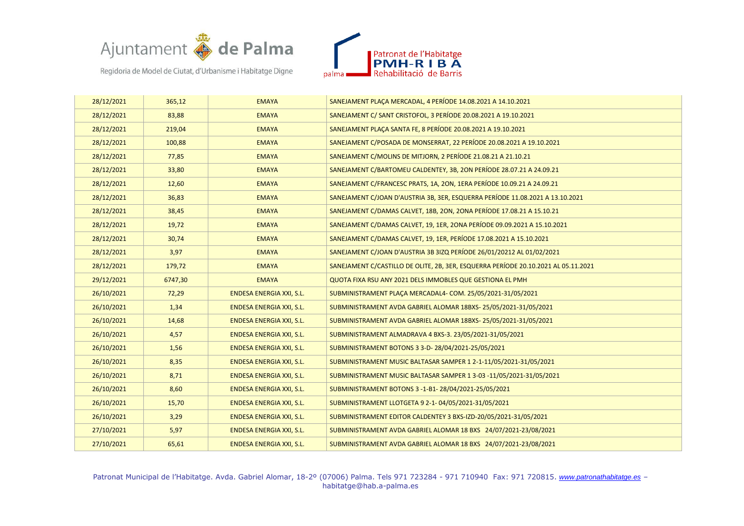



| 28/12/2021 | 365,12  | <b>EMAYA</b>                    | SANEJAMENT PLACA MERCADAL, 4 PERÍODE 14.08.2021 A 14.10.2021                       |
|------------|---------|---------------------------------|------------------------------------------------------------------------------------|
| 28/12/2021 | 83,88   | <b>EMAYA</b>                    | SANEJAMENT C/ SANT CRISTOFOL, 3 PERÍODE 20.08.2021 A 19.10.2021                    |
| 28/12/2021 | 219,04  | <b>EMAYA</b>                    | SANEJAMENT PLACA SANTA FE, 8 PERÍODE 20.08.2021 A 19.10.2021                       |
| 28/12/2021 | 100,88  | <b>EMAYA</b>                    | SANEJAMENT C/POSADA DE MONSERRAT, 22 PERÍODE 20.08.2021 A 19.10.2021               |
| 28/12/2021 | 77,85   | <b>EMAYA</b>                    | SANEJAMENT C/MOLINS DE MITJORN, 2 PERÍODE 21.08.21 A 21.10.21                      |
| 28/12/2021 | 33,80   | <b>EMAYA</b>                    | SANEJAMENT C/BARTOMEU CALDENTEY, 3B, 2ON PERÍODE 28.07.21 A 24.09.21               |
| 28/12/2021 | 12,60   | <b>EMAYA</b>                    | SANEJAMENT C/FRANCESC PRATS, 1A, 2ON, 1ERA PERÍODE 10.09.21 A 24.09.21             |
| 28/12/2021 | 36,83   | <b>EMAYA</b>                    | SANEJAMENT C/JOAN D'AUSTRIA 3B, 3ER, ESQUERRA PERÍODE 11.08.2021 A 13.10.2021      |
| 28/12/2021 | 38,45   | <b>EMAYA</b>                    | SANEJAMENT C/DAMAS CALVET, 18B, 2ON, 2ONA PERÍODE 17.08.21 A 15.10.21              |
| 28/12/2021 | 19,72   | <b>EMAYA</b>                    | SANEJAMENT C/DAMAS CALVET, 19, 1ER, 2ONA PERÍODE 09.09.2021 A 15.10.2021           |
| 28/12/2021 | 30,74   | <b>EMAYA</b>                    | SANEJAMENT C/DAMAS CALVET, 19, 1ER, PERÍODE 17.08.2021 A 15.10.2021                |
| 28/12/2021 | 3,97    | <b>EMAYA</b>                    | SANEJAMENT C/JOAN D'AUSTRIA 3B 3IZQ PERÍODE 26/01/20212 AL 01/02/2021              |
| 28/12/2021 | 179,72  | <b>EMAYA</b>                    | SANEJAMENT C/CASTILLO DE OLITE, 2B, 3ER, ESQUERRA PERÍODE 20.10.2021 AL 05.11.2021 |
| 29/12/2021 | 6747,30 | <b>EMAYA</b>                    | QUOTA FIXA RSU ANY 2021 DELS IMMOBLES QUE GESTIONA EL PMH                          |
| 26/10/2021 | 72,29   | <b>ENDESA ENERGIA XXI, S.L.</b> | SUBMINISTRAMENT PLAÇA MERCADAL4- COM. 25/05/2021-31/05/2021                        |
| 26/10/2021 | 1,34    | ENDESA ENERGIA XXI, S.L.        | SUBMINISTRAMENT AVDA GABRIEL ALOMAR 18BXS-25/05/2021-31/05/2021                    |
| 26/10/2021 | 14,68   | <b>ENDESA ENERGIA XXI, S.L.</b> | SUBMINISTRAMENT AVDA GABRIEL ALOMAR 18BXS-25/05/2021-31/05/2021                    |
| 26/10/2021 | 4,57    | ENDESA ENERGIA XXI, S.L.        | SUBMINISTRAMENT ALMADRAVA 4 BXS-3. 23/05/2021-31/05/2021                           |
| 26/10/2021 | 1,56    | <b>ENDESA ENERGIA XXI, S.L.</b> | SUBMINISTRAMENT BOTONS 3 3-D-28/04/2021-25/05/2021                                 |
| 26/10/2021 | 8,35    | ENDESA ENERGIA XXI, S.L.        | SUBMINISTRAMENT MUSIC BALTASAR SAMPER 1 2-1-11/05/2021-31/05/2021                  |
| 26/10/2021 | 8,71    | ENDESA ENERGIA XXI, S.L.        | SUBMINISTRAMENT MUSIC BALTASAR SAMPER 1 3-03 -11/05/2021-31/05/2021                |
| 26/10/2021 | 8,60    | <b>ENDESA ENERGIA XXI, S.L.</b> | SUBMINISTRAMENT BOTONS 3-1-B1-28/04/2021-25/05/2021                                |
| 26/10/2021 | 15,70   | <b>ENDESA ENERGIA XXI, S.L.</b> | SUBMINISTRAMENT LLOTGETA 9 2-1-04/05/2021-31/05/2021                               |
| 26/10/2021 | 3,29    | ENDESA ENERGIA XXI, S.L.        | SUBMINISTRAMENT EDITOR CALDENTEY 3 BXS-IZD-20/05/2021-31/05/2021                   |
| 27/10/2021 | 5,97    | ENDESA ENERGIA XXI, S.L.        | SUBMINISTRAMENT AVDA GABRIEL ALOMAR 18 BXS 24/07/2021-23/08/2021                   |
| 27/10/2021 | 65,61   | <b>ENDESA ENERGIA XXI, S.L.</b> | SUBMINISTRAMENT AVDA GABRIEL ALOMAR 18 BXS 24/07/2021-23/08/2021                   |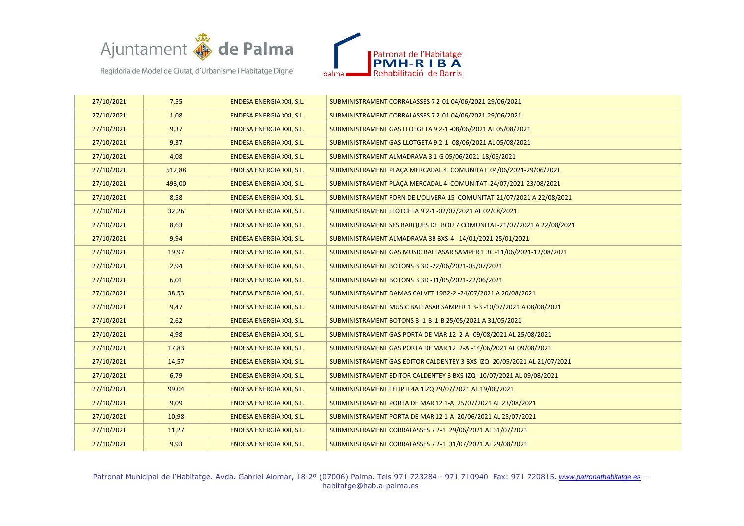



| 27/10/2021 | 7,55   | <b>ENDESA ENERGIA XXI, S.L.</b> | SUBMINISTRAMENT CORRALASSES 7 2-01 04/06/2021-29/06/2021                 |
|------------|--------|---------------------------------|--------------------------------------------------------------------------|
| 27/10/2021 | 1,08   | <b>ENDESA ENERGIA XXI, S.L.</b> | SUBMINISTRAMENT CORRALASSES 7 2-01 04/06/2021-29/06/2021                 |
| 27/10/2021 | 9,37   | ENDESA ENERGIA XXI, S.L.        | SUBMINISTRAMENT GAS LLOTGETA 9 2-1 -08/06/2021 AL 05/08/2021             |
| 27/10/2021 | 9,37   | ENDESA ENERGIA XXI, S.L.        | SUBMINISTRAMENT GAS LLOTGETA 9 2-1 -08/06/2021 AL 05/08/2021             |
| 27/10/2021 | 4,08   | <b>ENDESA ENERGIA XXI, S.L.</b> | SUBMINISTRAMENT ALMADRAVA 3 1-G 05/06/2021-18/06/2021                    |
| 27/10/2021 | 512,88 | <b>ENDESA ENERGIA XXI, S.L.</b> | SUBMINISTRAMENT PLAÇA MERCADAL 4 COMUNITAT 04/06/2021-29/06/2021         |
| 27/10/2021 | 493,00 | ENDESA ENERGIA XXI, S.L.        | SUBMINISTRAMENT PLACA MERCADAL 4 COMUNITAT 24/07/2021-23/08/2021         |
| 27/10/2021 | 8,58   | ENDESA ENERGIA XXI, S.L.        | SUBMINISTRAMENT FORN DE L'OLIVERA 15 COMUNITAT-21/07/2021 A 22/08/2021   |
| 27/10/2021 | 32,26  | <b>ENDESA ENERGIA XXI, S.L.</b> | SUBMINISTRAMENT LLOTGETA 9 2-1-02/07/2021 AL 02/08/2021                  |
| 27/10/2021 | 8,63   | ENDESA ENERGIA XXI, S.L.        | SUBMINISTRAMENT SES BARQUES DE BOU 7 COMUNITAT-21/07/2021 A 22/08/2021   |
| 27/10/2021 | 9,94   | <b>ENDESA ENERGIA XXI, S.L.</b> | SUBMINISTRAMENT ALMADRAVA 3B BXS-4 14/01/2021-25/01/2021                 |
| 27/10/2021 | 19,97  | ENDESA ENERGIA XXI, S.L.        | SUBMINISTRAMENT GAS MUSIC BALTASAR SAMPER 1 3C-11/06/2021-12/08/2021     |
| 27/10/2021 | 2,94   | ENDESA ENERGIA XXI, S.L.        | SUBMINISTRAMENT BOTONS 3 3D -22/06/2021-05/07/2021                       |
| 27/10/2021 | 6,01   | ENDESA ENERGIA XXI, S.L.        | SUBMINISTRAMENT BOTONS 3 3D -31/05/2021-22/06/2021                       |
| 27/10/2021 | 38,53  | <b>ENDESA ENERGIA XXI, S.L.</b> | SUBMINISTRAMENT DAMAS CALVET 19B2-2-24/07/2021 A 20/08/2021              |
| 27/10/2021 | 9,47   | <b>ENDESA ENERGIA XXI, S.L.</b> | SUBMINISTRAMENT MUSIC BALTASAR SAMPER 1 3-3-10/07/2021 A 08/08/2021      |
| 27/10/2021 | 2,62   | <b>ENDESA ENERGIA XXI, S.L.</b> | SUBMINISTRAMENT BOTONS 3 1-B 1-B 25/05/2021 A 31/05/2021                 |
| 27/10/2021 | 4,98   | ENDESA ENERGIA XXI, S.L.        | SUBMINISTRAMENT GAS PORTA DE MAR 12 2-A -09/08/2021 AL 25/08/2021        |
| 27/10/2021 | 17,83  | ENDESA ENERGIA XXI, S.L.        | SUBMINISTRAMENT GAS PORTA DE MAR 12 2-A -14/06/2021 AL 09/08/2021        |
| 27/10/2021 | 14,57  | <b>ENDESA ENERGIA XXI, S.L.</b> | SUBMINISTRAMENT GAS EDITOR CALDENTEY 3 BXS-IZQ -20/05/2021 AL 21/07/2021 |
| 27/10/2021 | 6,79   | ENDESA ENERGIA XXI, S.L.        | SUBMINISTRAMENT EDITOR CALDENTEY 3 BXS-IZQ -10/07/2021 AL 09/08/2021     |
| 27/10/2021 | 99,04  | <b>ENDESA ENERGIA XXI, S.L.</b> | SUBMINISTRAMENT FELIP II 4A 1IZQ 29/07/2021 AL 19/08/2021                |
| 27/10/2021 | 9,09   | ENDESA ENERGIA XXI, S.L.        | SUBMINISTRAMENT PORTA DE MAR 12 1-A 25/07/2021 AL 23/08/2021             |
| 27/10/2021 | 10,98  | ENDESA ENERGIA XXI, S.L.        | SUBMINISTRAMENT PORTA DE MAR 12 1-A 20/06/2021 AL 25/07/2021             |
| 27/10/2021 | 11,27  | ENDESA ENERGIA XXI, S.L.        | SUBMINISTRAMENT CORRALASSES 7 2-1 29/06/2021 AL 31/07/2021               |
| 27/10/2021 | 9,93   | ENDESA ENERGIA XXI, S.L.        | SUBMINISTRAMENT CORRALASSES 7 2-1 31/07/2021 AL 29/08/2021               |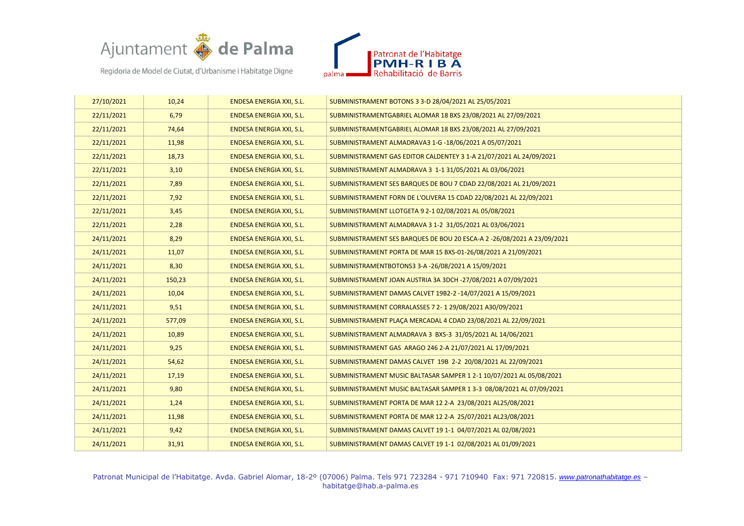



| 27/10/2021 | 10,24  | <b>ENDESA ENERGIA XXI, S.L.</b> | SUBMINISTRAMENT BOTONS 3 3-D 28/04/2021 AL 25/05/2021                   |
|------------|--------|---------------------------------|-------------------------------------------------------------------------|
| 22/11/2021 | 6,79   | <b>ENDESA ENERGIA XXI, S.L.</b> | SUBMINISTRAMENTGABRIEL ALOMAR 18 BXS 23/08/2021 AL 27/09/2021           |
| 22/11/2021 | 74,64  | ENDESA ENERGIA XXI, S.L.        | SUBMINISTRAMENTGABRIEL ALOMAR 18 BXS 23/08/2021 AL 27/09/2021           |
| 22/11/2021 | 11,98  | <b>ENDESA ENERGIA XXI, S.L.</b> | SUBMINISTRAMENT ALMADRAVA3 1-G -18/06/2021 A 05/07/2021                 |
| 22/11/2021 | 18,73  | <b>ENDESA ENERGIA XXI, S.L.</b> | SUBMINISTRAMENT GAS EDITOR CALDENTEY 3 1-A 21/07/2021 AL 24/09/2021     |
| 22/11/2021 | 3,10   | <b>ENDESA ENERGIA XXI, S.L.</b> | SUBMINISTRAMENT ALMADRAVA 3 1-1 31/05/2021 AL 03/06/2021                |
| 22/11/2021 | 7,89   | <b>ENDESA ENERGIA XXI, S.L.</b> | SUBMINISTRAMENT SES BARQUES DE BOU 7 CDAD 22/08/2021 AL 21/09/2021      |
| 22/11/2021 | 7,92   | <b>ENDESA ENERGIA XXI, S.L.</b> | SUBMINISTRAMENT FORN DE L'OLIVERA 15 CDAD 22/08/2021 AL 22/09/2021      |
| 22/11/2021 | 3,45   | ENDESA ENERGIA XXI, S.L.        | SUBMINISTRAMENT LLOTGETA 9 2-1 02/08/2021 AL 05/08/2021                 |
| 22/11/2021 | 2,28   | ENDESA ENERGIA XXI, S.L.        | SUBMINISTRAMENT ALMADRAVA 3 1-2 31/05/2021 AL 03/06/2021                |
| 24/11/2021 | 8,29   | ENDESA ENERGIA XXI, S.L.        | SUBMINISTRAMENT SES BARQUES DE BOU 20 ESCA-A 2 -26/08/2021 A 23/09/2021 |
| 24/11/2021 | 11,07  | <b>ENDESA ENERGIA XXI, S.L.</b> | SUBMINISTRAMENT PORTA DE MAR 15 BXS-01-26/08/2021 A 21/09/2021          |
| 24/11/2021 | 8,30   | ENDESA ENERGIA XXI, S.L.        | SUBMINISTRAMENTBOTONS3 3-A-26/08/2021 A 15/09/2021                      |
| 24/11/2021 | 150,23 | ENDESA ENERGIA XXI, S.L.        | SUBMINISTRAMENT JOAN AUSTRIA 3A 3DCH -27/08/2021 A 07/09/2021           |
| 24/11/2021 | 10,04  | <b>ENDESA ENERGIA XXI, S.L.</b> | SUBMINISTRAMENT DAMAS CALVET 19B2-2-14/07/2021 A 15/09/2021             |
| 24/11/2021 | 9,51   | <b>ENDESA ENERGIA XXI, S.L.</b> | SUBMINISTRAMENT CORRALASSES 7 2-1 29/08/2021 A30/09/2021                |
| 24/11/2021 | 577,09 | <b>ENDESA ENERGIA XXI, S.L.</b> | SUBMINISTRAMENT PLACA MERCADAL 4 CDAD 23/08/2021 AL 22/09/2021          |
| 24/11/2021 | 10,89  | <b>ENDESA ENERGIA XXI, S.L.</b> | SUBMINISTRAMENT ALMADRAVA 3 BXS-3 31/05/2021 AL 14/06/2021              |
| 24/11/2021 | 9,25   | ENDESA ENERGIA XXI, S.L.        | SUBMINISTRAMENT GAS ARAGO 246 2-A 21/07/2021 AL 17/09/2021              |
| 24/11/2021 | 54,62  | <b>ENDESA ENERGIA XXI, S.L.</b> | SUBMINISTRAMENT DAMAS CALVET 19B 2-2 20/08/2021 AL 22/09/2021           |
| 24/11/2021 | 17,19  | <b>ENDESA ENERGIA XXI, S.L.</b> | SUBMINISTRAMENT MUSIC BALTASAR SAMPER 1 2-1 10/07/2021 AL 05/08/2021    |
| 24/11/2021 | 9,80   | <b>ENDESA ENERGIA XXI, S.L.</b> | SUBMINISTRAMENT MUSIC BALTASAR SAMPER 1 3-3 08/08/2021 AL 07/09/2021    |
| 24/11/2021 | 1,24   | ENDESA ENERGIA XXI, S.L.        | SUBMINISTRAMENT PORTA DE MAR 12 2-A 23/08/2021 AL25/08/2021             |
| 24/11/2021 | 11,98  | ENDESA ENERGIA XXI, S.L.        | SUBMINISTRAMENT PORTA DE MAR 12 2-A 25/07/2021 AL23/08/2021             |
| 24/11/2021 | 9,42   | <b>ENDESA ENERGIA XXI, S.L.</b> | SUBMINISTRAMENT DAMAS CALVET 19 1-1 04/07/2021 AL 02/08/2021            |
| 24/11/2021 | 31,91  | <b>ENDESA ENERGIA XXI, S.L.</b> | SUBMINISTRAMENT DAMAS CALVET 19 1-1 02/08/2021 AL 01/09/2021            |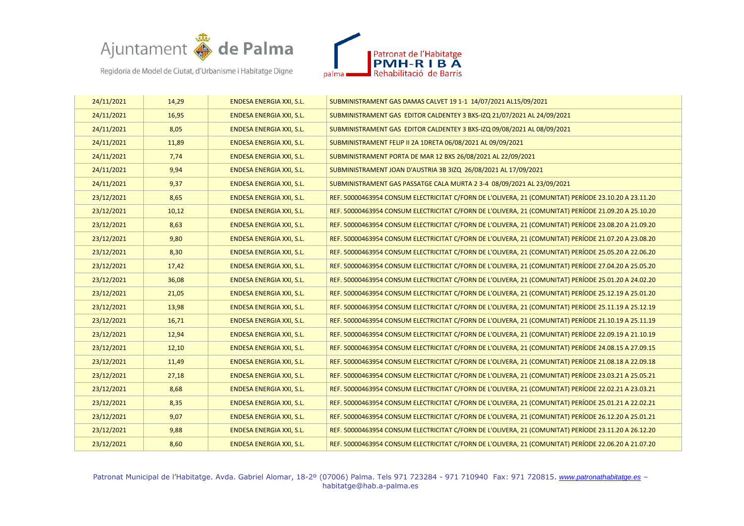



| 24/11/2021 | 14,29 | <b>ENDESA ENERGIA XXI, S.L.</b> | SUBMINISTRAMENT GAS DAMAS CALVET 19 1-1 14/07/2021 AL15/09/2021                                      |
|------------|-------|---------------------------------|------------------------------------------------------------------------------------------------------|
| 24/11/2021 | 16,95 | <b>ENDESA ENERGIA XXI, S.L.</b> | SUBMINISTRAMENT GAS EDITOR CALDENTEY 3 BXS-IZQ 21/07/2021 AL 24/09/2021                              |
| 24/11/2021 | 8,05  | <b>ENDESA ENERGIA XXI, S.L.</b> | SUBMINISTRAMENT GAS EDITOR CALDENTEY 3 BXS-IZQ 09/08/2021 AL 08/09/2021                              |
| 24/11/2021 | 11,89 | <b>ENDESA ENERGIA XXI, S.L.</b> | SUBMINISTRAMENT FELIP II 2A 1DRETA 06/08/2021 AL 09/09/2021                                          |
| 24/11/2021 | 7,74  | <b>ENDESA ENERGIA XXI, S.L.</b> | SUBMINISTRAMENT PORTA DE MAR 12 BXS 26/08/2021 AL 22/09/2021                                         |
| 24/11/2021 | 9,94  | <b>ENDESA ENERGIA XXI, S.L.</b> | SUBMINISTRAMENT JOAN D'AUSTRIA 3B 3IZQ 26/08/2021 AL 17/09/2021                                      |
| 24/11/2021 | 9,37  | <b>ENDESA ENERGIA XXI, S.L.</b> | SUBMINISTRAMENT GAS PASSATGE CALA MURTA 2 3-4 08/09/2021 AL 23/09/2021                               |
| 23/12/2021 | 8,65  | <b>ENDESA ENERGIA XXI, S.L.</b> | REF. 50000463954 CONSUM ELECTRICITAT C/FORN DE L'OLIVERA, 21 (COMUNITAT) PERÍODE 23.10.20 A 23.11.20 |
| 23/12/2021 | 10,12 | <b>ENDESA ENERGIA XXI, S.L.</b> | REF. 50000463954 CONSUM ELECTRICITAT C/FORN DE L'OLIVERA, 21 (COMUNITAT) PERÍODE 21.09.20 A 25.10.20 |
| 23/12/2021 | 8,63  | ENDESA ENERGIA XXI, S.L.        | REF. 50000463954 CONSUM ELECTRICITAT C/FORN DE L'OLIVERA, 21 (COMUNITAT) PERÍODE 23.08.20 A 21.09.20 |
| 23/12/2021 | 9,80  | <b>ENDESA ENERGIA XXI, S.L.</b> | REF. 50000463954 CONSUM ELECTRICITAT C/FORN DE L'OLIVERA, 21 (COMUNITAT) PERÍODE 21.07.20 A 23.08.20 |
| 23/12/2021 | 8,30  | ENDESA ENERGIA XXI, S.L.        | REF. 50000463954 CONSUM ELECTRICITAT C/FORN DE L'OLIVERA, 21 (COMUNITAT) PERÍODE 25.05.20 A 22.06.20 |
| 23/12/2021 | 17,42 | ENDESA ENERGIA XXI, S.L.        | REF. 50000463954 CONSUM ELECTRICITAT C/FORN DE L'OLIVERA, 21 (COMUNITAT) PERÍODE 27.04.20 A 25.05.20 |
| 23/12/2021 | 36,08 | <b>ENDESA ENERGIA XXI, S.L.</b> | REF. 50000463954 CONSUM ELECTRICITAT C/FORN DE L'OLIVERA, 21 (COMUNITAT) PERÍODE 25.01.20 A 24.02.20 |
| 23/12/2021 | 21,05 | ENDESA ENERGIA XXI, S.L.        | REF. 50000463954 CONSUM ELECTRICITAT C/FORN DE L'OLIVERA, 21 (COMUNITAT) PERÍODE 25.12.19 A 25.01.20 |
| 23/12/2021 | 13,98 | ENDESA ENERGIA XXI, S.L.        | REF. 50000463954 CONSUM ELECTRICITAT C/FORN DE L'OLIVERA, 21 (COMUNITAT) PERÍODE 25.11.19 A 25.12.19 |
| 23/12/2021 | 16,71 | ENDESA ENERGIA XXI, S.L.        | REF. 50000463954 CONSUM ELECTRICITAT C/FORN DE L'OLIVERA, 21 (COMUNITAT) PERÍODE 21.10.19 A 25.11.19 |
| 23/12/2021 | 12,94 | ENDESA ENERGIA XXI, S.L.        | REF. 50000463954 CONSUM ELECTRICITAT C/FORN DE L'OLIVERA, 21 (COMUNITAT) PERÍODE 22.09.19 A 21.10.19 |
| 23/12/2021 | 12,10 | <b>ENDESA ENERGIA XXI, S.L.</b> | REF. 50000463954 CONSUM ELECTRICITAT C/FORN DE L'OLIVERA, 21 (COMUNITAT) PERÍODE 24.08.15 A 27.09.15 |
| 23/12/2021 | 11,49 | <b>ENDESA ENERGIA XXI, S.L.</b> | REF. 50000463954 CONSUM ELECTRICITAT C/FORN DE L'OLIVERA, 21 (COMUNITAT) PERÍODE 21.08.18 A 22.09.18 |
| 23/12/2021 | 27,18 | ENDESA ENERGIA XXI, S.L.        | REF. 50000463954 CONSUM ELECTRICITAT C/FORN DE L'OLIVERA, 21 (COMUNITAT) PERÍODE 23.03.21 A 25.05.21 |
| 23/12/2021 | 8,68  | <b>ENDESA ENERGIA XXI, S.L.</b> | REF. 50000463954 CONSUM ELECTRICITAT C/FORN DE L'OLIVERA, 21 (COMUNITAT) PERÍODE 22.02.21 A 23.03.21 |
| 23/12/2021 | 8,35  | ENDESA ENERGIA XXI, S.L.        | REF. 50000463954 CONSUM ELECTRICITAT C/FORN DE L'OLIVERA, 21 (COMUNITAT) PERÍODE 25.01.21 A 22.02.21 |
| 23/12/2021 | 9,07  | ENDESA ENERGIA XXI, S.L.        | REF. 50000463954 CONSUM ELECTRICITAT C/FORN DE L'OLIVERA, 21 (COMUNITAT) PERÍODE 26.12.20 A 25.01.21 |
| 23/12/2021 | 9,88  | ENDESA ENERGIA XXI, S.L.        | REF. 50000463954 CONSUM ELECTRICITAT C/FORN DE L'OLIVERA, 21 (COMUNITAT) PERÍODE 23.11.20 A 26.12.20 |
| 23/12/2021 | 8,60  | ENDESA ENERGIA XXI, S.L.        | REF. 50000463954 CONSUM ELECTRICITAT C/FORN DE L'OLIVERA, 21 (COMUNITAT) PERÍODE 22.06.20 A 21.07.20 |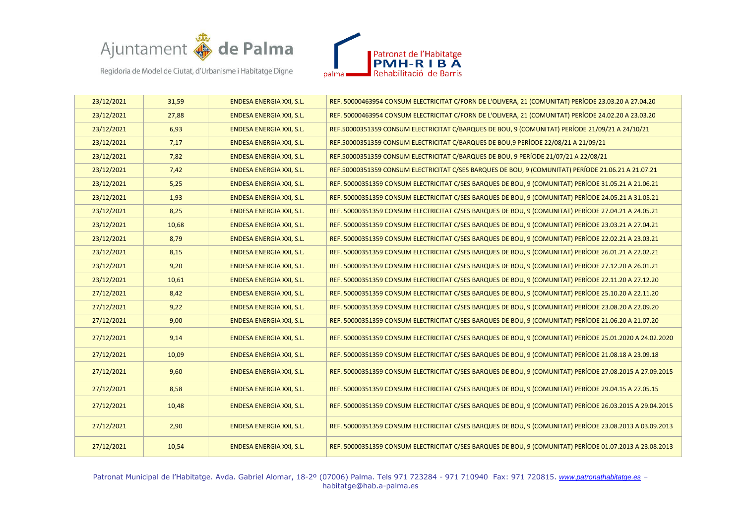



| 23/12/2021 | 31,59 | <b>ENDESA ENERGIA XXI, S.L.</b> | REF. 50000463954 CONSUM ELECTRICITAT C/FORN DE L'OLIVERA, 21 (COMUNITAT) PERÍODE 23.03.20 A 27.04.20     |
|------------|-------|---------------------------------|----------------------------------------------------------------------------------------------------------|
| 23/12/2021 | 27,88 | <b>ENDESA ENERGIA XXI, S.L.</b> | REF. 50000463954 CONSUM ELECTRICITAT C/FORN DE L'OLIVERA, 21 (COMUNITAT) PERÍODE 24.02.20 A 23.03.20     |
| 23/12/2021 | 6,93  | <b>ENDESA ENERGIA XXI, S.L.</b> | REF.50000351359 CONSUM ELECTRICITAT C/BARQUES DE BOU, 9 (COMUNITAT) PERÍODE 21/09/21 A 24/10/21          |
| 23/12/2021 | 7,17  | <b>ENDESA ENERGIA XXI, S.L.</b> | REF.50000351359 CONSUM ELECTRICITAT C/BARQUES DE BOU, 9 PERÍODE 22/08/21 A 21/09/21                      |
| 23/12/2021 | 7,82  | ENDESA ENERGIA XXI, S.L.        | REF.50000351359 CONSUM ELECTRICITAT C/BARQUES DE BOU, 9 PERÍODE 21/07/21 A 22/08/21                      |
| 23/12/2021 | 7,42  | ENDESA ENERGIA XXI, S.L.        | REF.50000351359 CONSUM ELECTRICITAT C/SES BARQUES DE BOU, 9 (COMUNITAT) PERÍODE 21.06.21 A 21.07.21      |
| 23/12/2021 | 5,25  | <b>ENDESA ENERGIA XXI, S.L.</b> | REF. 50000351359 CONSUM ELECTRICITAT C/SES BARQUES DE BOU, 9 (COMUNITAT) PERÍODE 31.05.21 A 21.06.21     |
| 23/12/2021 | 1,93  | <b>ENDESA ENERGIA XXI, S.L.</b> | REF. 50000351359 CONSUM ELECTRICITAT C/SES BARQUES DE BOU, 9 (COMUNITAT) PERÍODE 24.05.21 A 31.05.21     |
| 23/12/2021 | 8,25  | <b>ENDESA ENERGIA XXI, S.L.</b> | REF. 50000351359 CONSUM ELECTRICITAT C/SES BARQUES DE BOU, 9 (COMUNITAT) PERÍODE 27.04.21 A 24.05.21     |
| 23/12/2021 | 10,68 | ENDESA ENERGIA XXI, S.L.        | REF. 50000351359 CONSUM ELECTRICITAT C/SES BARQUES DE BOU, 9 (COMUNITAT) PERÍODE 23.03.21 A 27.04.21     |
| 23/12/2021 | 8,79  | <b>ENDESA ENERGIA XXI, S.L.</b> | REF. 50000351359 CONSUM ELECTRICITAT C/SES BARQUES DE BOU, 9 (COMUNITAT) PERÍODE 22.02.21 A 23.03.21     |
| 23/12/2021 | 8,15  | <b>ENDESA ENERGIA XXI, S.L.</b> | REF. 50000351359 CONSUM ELECTRICITAT C/SES BARQUES DE BOU, 9 (COMUNITAT) PERÍODE 26.01.21 A 22.02.21     |
| 23/12/2021 | 9,20  | ENDESA ENERGIA XXI, S.L.        | REF. 50000351359 CONSUM ELECTRICITAT C/SES BARQUES DE BOU, 9 (COMUNITAT) PERÍODE 27.12.20 A 26.01.21     |
| 23/12/2021 | 10,61 | <b>ENDESA ENERGIA XXI, S.L.</b> | REF. 50000351359 CONSUM ELECTRICITAT C/SES BARQUES DE BOU, 9 (COMUNITAT) PERÍODE 22.11.20 A 27.12.20     |
| 27/12/2021 | 8,42  | <b>ENDESA ENERGIA XXI, S.L.</b> | REF. 50000351359 CONSUM ELECTRICITAT C/SES BARQUES DE BOU, 9 (COMUNITAT) PERÍODE 25.10.20 A 22.11.20     |
| 27/12/2021 | 9,22  | <b>ENDESA ENERGIA XXI, S.L.</b> | REF. 50000351359 CONSUM ELECTRICITAT C/SES BARQUES DE BOU, 9 (COMUNITAT) PERÍODE 23.08.20 A 22.09.20     |
| 27/12/2021 | 9,00  | ENDESA ENERGIA XXI, S.L.        | REF. 50000351359 CONSUM ELECTRICITAT C/SES BARQUES DE BOU, 9 (COMUNITAT) PERÍODE 21.06.20 A 21.07.20     |
| 27/12/2021 | 9,14  | <b>ENDESA ENERGIA XXI, S.L.</b> | REF. 50000351359 CONSUM ELECTRICITAT C/SES BARQUES DE BOU, 9 (COMUNITAT) PERÍODE 25.01.2020 A 24.02.2020 |
| 27/12/2021 | 10,09 | <b>ENDESA ENERGIA XXI, S.L.</b> | REF. 50000351359 CONSUM ELECTRICITAT C/SES BARQUES DE BOU, 9 (COMUNITAT) PERÍODE 21.08.18 A 23.09.18     |
| 27/12/2021 | 9,60  | ENDESA ENERGIA XXI, S.L.        | REF. 50000351359 CONSUM ELECTRICITAT C/SES BARQUES DE BOU, 9 (COMUNITAT) PERÍODE 27.08.2015 A 27.09.2015 |
| 27/12/2021 | 8,58  | ENDESA ENERGIA XXI, S.L.        | REF. 50000351359 CONSUM ELECTRICITAT C/SES BARQUES DE BOU, 9 (COMUNITAT) PERÍODE 29.04.15 A 27.05.15     |
| 27/12/2021 | 10,48 | <b>ENDESA ENERGIA XXI, S.L.</b> | REF. 50000351359 CONSUM ELECTRICITAT C/SES BARQUES DE BOU, 9 (COMUNITAT) PERÍODE 26.03.2015 A 29.04.2015 |
| 27/12/2021 | 2,90  | <b>ENDESA ENERGIA XXI, S.L.</b> | REF. 50000351359 CONSUM ELECTRICITAT C/SES BARQUES DE BOU, 9 (COMUNITAT) PERÍODE 23.08.2013 A 03.09.2013 |
| 27/12/2021 | 10,54 | ENDESA ENERGIA XXI, S.L.        | REF. 50000351359 CONSUM ELECTRICITAT C/SES BARQUES DE BOU, 9 (COMUNITAT) PERÍODE 01.07.2013 A 23.08.2013 |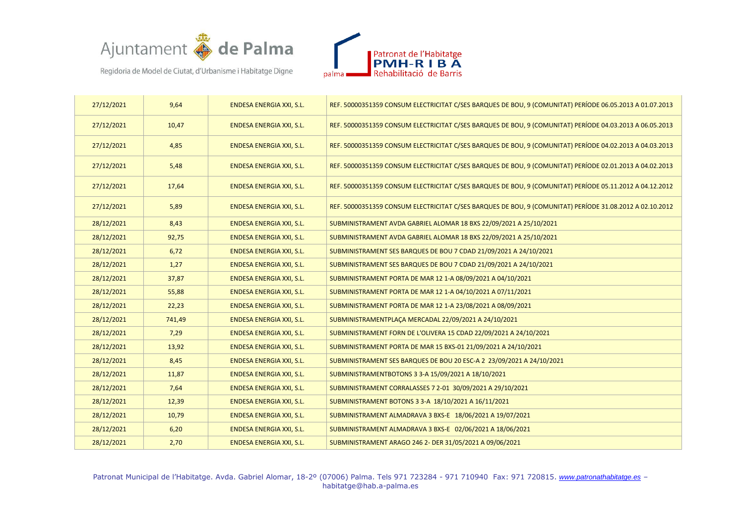



| 27/12/2021 | 9,64   | ENDESA ENERGIA XXI, S.L.        | REF. 50000351359 CONSUM ELECTRICITAT C/SES BARQUES DE BOU, 9 (COMUNITAT) PERÍODE 06.05.2013 A 01.07.2013 |
|------------|--------|---------------------------------|----------------------------------------------------------------------------------------------------------|
| 27/12/2021 | 10,47  | ENDESA ENERGIA XXI, S.L.        | REF. 50000351359 CONSUM ELECTRICITAT C/SES BARQUES DE BOU, 9 (COMUNITAT) PERÍODE 04.03.2013 A 06.05.2013 |
| 27/12/2021 | 4,85   | ENDESA ENERGIA XXI, S.L.        | REF. 50000351359 CONSUM ELECTRICITAT C/SES BARQUES DE BOU, 9 (COMUNITAT) PERÍODE 04.02.2013 A 04.03.2013 |
| 27/12/2021 | 5,48   | ENDESA ENERGIA XXI, S.L.        | REF. 50000351359 CONSUM ELECTRICITAT C/SES BARQUES DE BOU, 9 (COMUNITAT) PERÍODE 02.01.2013 A 04.02.2013 |
| 27/12/2021 | 17,64  | ENDESA ENERGIA XXI, S.L.        | REF. 50000351359 CONSUM ELECTRICITAT C/SES BARQUES DE BOU, 9 (COMUNITAT) PERÍODE 05.11.2012 A 04.12.2012 |
| 27/12/2021 | 5,89   | ENDESA ENERGIA XXI, S.L.        | REF. 50000351359 CONSUM ELECTRICITAT C/SES BARQUES DE BOU, 9 (COMUNITAT) PERÍODE 31.08.2012 A 02.10.2012 |
| 28/12/2021 | 8,43   | ENDESA ENERGIA XXI, S.L.        | SUBMINISTRAMENT AVDA GABRIEL ALOMAR 18 BXS 22/09/2021 A 25/10/2021                                       |
| 28/12/2021 | 92,75  | ENDESA ENERGIA XXI, S.L.        | SUBMINISTRAMENT AVDA GABRIEL ALOMAR 18 BXS 22/09/2021 A 25/10/2021                                       |
| 28/12/2021 | 6,72   | ENDESA ENERGIA XXI, S.L.        | SUBMINISTRAMENT SES BARQUES DE BOU 7 CDAD 21/09/2021 A 24/10/2021                                        |
| 28/12/2021 | 1,27   | ENDESA ENERGIA XXI, S.L.        | SUBMINISTRAMENT SES BARQUES DE BOU 7 CDAD 21/09/2021 A 24/10/2021                                        |
| 28/12/2021 | 37,87  | ENDESA ENERGIA XXI, S.L.        | SUBMINISTRAMENT PORTA DE MAR 12 1-A 08/09/2021 A 04/10/2021                                              |
| 28/12/2021 | 55,88  | <b>ENDESA ENERGIA XXI, S.L.</b> | SUBMINISTRAMENT PORTA DE MAR 12 1-A 04/10/2021 A 07/11/2021                                              |
| 28/12/2021 | 22,23  | ENDESA ENERGIA XXI, S.L.        | SUBMINISTRAMENT PORTA DE MAR 12 1-A 23/08/2021 A 08/09/2021                                              |
| 28/12/2021 | 741,49 | <b>ENDESA ENERGIA XXI, S.L.</b> | SUBMINISTRAMENTPLACA MERCADAL 22/09/2021 A 24/10/2021                                                    |
| 28/12/2021 | 7,29   | ENDESA ENERGIA XXI, S.L.        | SUBMINISTRAMENT FORN DE L'OLIVERA 15 CDAD 22/09/2021 A 24/10/2021                                        |
| 28/12/2021 | 13,92  | ENDESA ENERGIA XXI, S.L.        | SUBMINISTRAMENT PORTA DE MAR 15 BXS-01 21/09/2021 A 24/10/2021                                           |
| 28/12/2021 | 8,45   | ENDESA ENERGIA XXI, S.L.        | SUBMINISTRAMENT SES BARQUES DE BOU 20 ESC-A 2 23/09/2021 A 24/10/2021                                    |
| 28/12/2021 | 11,87  | ENDESA ENERGIA XXI, S.L.        | SUBMINISTRAMENTBOTONS 3 3-A 15/09/2021 A 18/10/2021                                                      |
| 28/12/2021 | 7,64   | ENDESA ENERGIA XXI, S.L.        | SUBMINISTRAMENT CORRALASSES 7 2-01 30/09/2021 A 29/10/2021                                               |
| 28/12/2021 | 12,39  | ENDESA ENERGIA XXI, S.L.        | SUBMINISTRAMENT BOTONS 3 3-A 18/10/2021 A 16/11/2021                                                     |
| 28/12/2021 | 10,79  | ENDESA ENERGIA XXI, S.L.        | SUBMINISTRAMENT ALMADRAVA 3 BXS-E 18/06/2021 A 19/07/2021                                                |
| 28/12/2021 | 6,20   | ENDESA ENERGIA XXI, S.L.        | SUBMINISTRAMENT ALMADRAVA 3 BXS-E 02/06/2021 A 18/06/2021                                                |
| 28/12/2021 | 2,70   | ENDESA ENERGIA XXI, S.L.        | SUBMINISTRAMENT ARAGO 246 2- DER 31/05/2021 A 09/06/2021                                                 |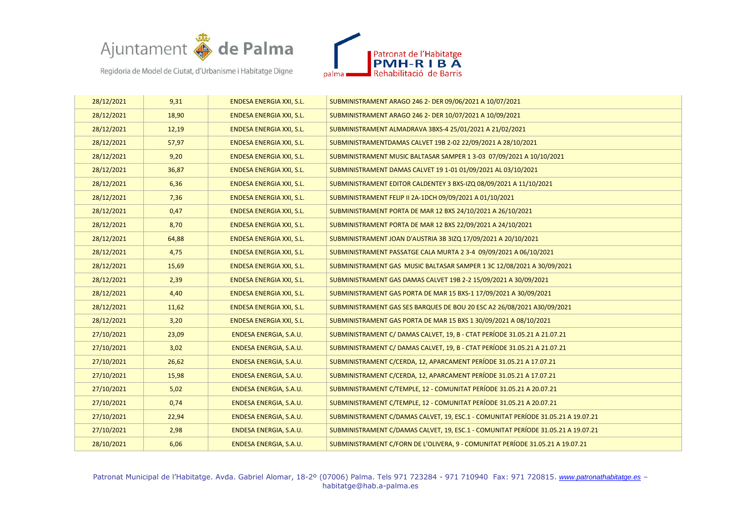



| 28/12/2021 | 9,31  | ENDESA ENERGIA XXI, S.L.        | SUBMINISTRAMENT ARAGO 246 2- DER 09/06/2021 A 10/07/2021                          |
|------------|-------|---------------------------------|-----------------------------------------------------------------------------------|
| 28/12/2021 | 18,90 | ENDESA ENERGIA XXI, S.L.        | SUBMINISTRAMENT ARAGO 246 2- DER 10/07/2021 A 10/09/2021                          |
| 28/12/2021 | 12,19 | ENDESA ENERGIA XXI, S.L.        | SUBMINISTRAMENT ALMADRAVA 3BXS-4 25/01/2021 A 21/02/2021                          |
| 28/12/2021 | 57,97 | <b>ENDESA ENERGIA XXI, S.L.</b> | SUBMINISTRAMENTDAMAS CALVET 19B 2-02 22/09/2021 A 28/10/2021                      |
| 28/12/2021 | 9,20  | <b>ENDESA ENERGIA XXI, S.L.</b> | SUBMINISTRAMENT MUSIC BALTASAR SAMPER 1 3-03 07/09/2021 A 10/10/2021              |
| 28/12/2021 | 36,87 | ENDESA ENERGIA XXI, S.L.        | SUBMINISTRAMENT DAMAS CALVET 19 1-01 01/09/2021 AL 03/10/2021                     |
| 28/12/2021 | 6,36  | ENDESA ENERGIA XXI, S.L.        | SUBMINISTRAMENT EDITOR CALDENTEY 3 BXS-IZQ 08/09/2021 A 11/10/2021                |
| 28/12/2021 | 7,36  | ENDESA ENERGIA XXI, S.L.        | SUBMINISTRAMENT FELIP II 2A-1DCH 09/09/2021 A 01/10/2021                          |
| 28/12/2021 | 0,47  | ENDESA ENERGIA XXI, S.L.        | SUBMINISTRAMENT PORTA DE MAR 12 BXS 24/10/2021 A 26/10/2021                       |
| 28/12/2021 | 8,70  | ENDESA ENERGIA XXI, S.L.        | SUBMINISTRAMENT PORTA DE MAR 12 BXS 22/09/2021 A 24/10/2021                       |
| 28/12/2021 | 64,88 | ENDESA ENERGIA XXI, S.L.        | SUBMINISTRAMENT JOAN D'AUSTRIA 3B 3IZQ 17/09/2021 A 20/10/2021                    |
| 28/12/2021 | 4,75  | ENDESA ENERGIA XXI, S.L.        | SUBMINISTRAMENT PASSATGE CALA MURTA 2 3-4 09/09/2021 A 06/10/2021                 |
| 28/12/2021 | 15,69 | ENDESA ENERGIA XXI, S.L.        | SUBMINISTRAMENT GAS MUSIC BALTASAR SAMPER 1 3C 12/08/2021 A 30/09/2021            |
| 28/12/2021 | 2,39  | <b>ENDESA ENERGIA XXI, S.L.</b> | SUBMINISTRAMENT GAS DAMAS CALVET 19B 2-2 15/09/2021 A 30/09/2021                  |
| 28/12/2021 | 4,40  | ENDESA ENERGIA XXI, S.L.        | SUBMINISTRAMENT GAS PORTA DE MAR 15 BXS-1 17/09/2021 A 30/09/2021                 |
| 28/12/2021 | 11,62 | <b>ENDESA ENERGIA XXI, S.L.</b> | SUBMINISTRAMENT GAS SES BARQUES DE BOU 20 ESC A2 26/08/2021 A30/09/2021           |
| 28/12/2021 | 3,20  | ENDESA ENERGIA XXI, S.L.        | SUBMINISTRAMENT GAS PORTA DE MAR 15 BXS 1 30/09/2021 A 08/10/2021                 |
| 27/10/2021 | 23,09 | ENDESA ENERGIA, S.A.U.          | SUBMINISTRAMENT C/ DAMAS CALVET, 19, B - CTAT PERÍODE 31.05.21 A 21.07.21         |
| 27/10/2021 | 3,02  | ENDESA ENERGIA, S.A.U.          | SUBMINISTRAMENT C/ DAMAS CALVET, 19, B - CTAT PERÍODE 31.05.21 A 21.07.21         |
| 27/10/2021 | 26,62 | ENDESA ENERGIA, S.A.U.          | SUBMINISTRAMENT C/CERDA, 12, APARCAMENT PERÍODE 31.05.21 A 17.07.21               |
| 27/10/2021 | 15,98 | ENDESA ENERGIA, S.A.U.          | SUBMINISTRAMENT C/CERDA, 12, APARCAMENT PERÍODE 31.05.21 A 17.07.21               |
| 27/10/2021 | 5,02  | ENDESA ENERGIA, S.A.U.          | SUBMINISTRAMENT C/TEMPLE, 12 - COMUNITAT PERÍODE 31.05.21 A 20.07.21              |
| 27/10/2021 | 0,74  | ENDESA ENERGIA, S.A.U.          | SUBMINISTRAMENT C/TEMPLE, 12 - COMUNITAT PERÍODE 31.05.21 A 20.07.21              |
| 27/10/2021 | 22,94 | ENDESA ENERGIA, S.A.U.          | SUBMINISTRAMENT C/DAMAS CALVET, 19, ESC.1 - COMUNITAT PERÍODE 31.05.21 A 19.07.21 |
| 27/10/2021 | 2,98  | ENDESA ENERGIA, S.A.U.          | SUBMINISTRAMENT C/DAMAS CALVET, 19, ESC.1 - COMUNITAT PERÍODE 31.05.21 A 19.07.21 |
| 28/10/2021 | 6,06  | ENDESA ENERGIA, S.A.U.          | SUBMINISTRAMENT C/FORN DE L'OLIVERA, 9 - COMUNITAT PERÍODE 31.05.21 A 19.07.21    |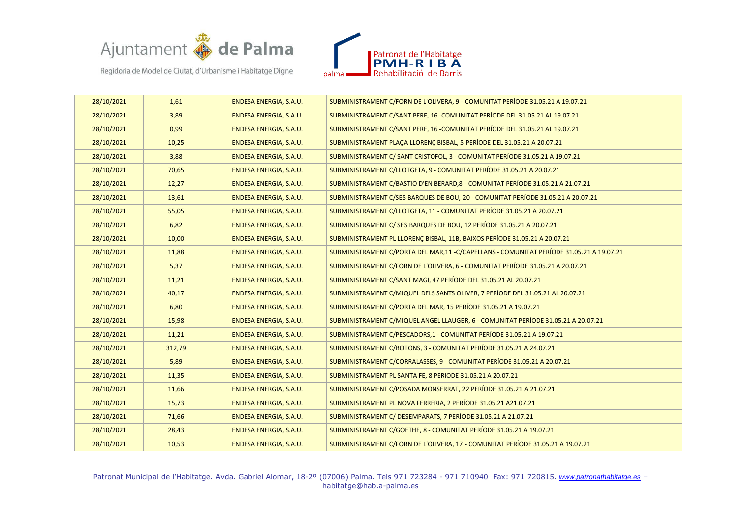



| 28/10/2021 | 1,61   | ENDESA ENERGIA, S.A.U. | SUBMINISTRAMENT C/FORN DE L'OLIVERA, 9 - COMUNITAT PERÍODE 31.05.21 A 19.07.21           |
|------------|--------|------------------------|------------------------------------------------------------------------------------------|
| 28/10/2021 | 3,89   | ENDESA ENERGIA, S.A.U. | SUBMINISTRAMENT C/SANT PERE, 16 -COMUNITAT PERÍODE DEL 31.05.21 AL 19.07.21              |
| 28/10/2021 | 0,99   | ENDESA ENERGIA, S.A.U. | SUBMINISTRAMENT C/SANT PERE, 16 -COMUNITAT PERÍODE DEL 31.05.21 AL 19.07.21              |
| 28/10/2021 | 10,25  | ENDESA ENERGIA, S.A.U. | SUBMINISTRAMENT PLACA LLORENC BISBAL, 5 PERÍODE DEL 31.05.21 A 20.07.21                  |
| 28/10/2021 | 3,88   | ENDESA ENERGIA, S.A.U. | SUBMINISTRAMENT C/ SANT CRISTOFOL, 3 - COMUNITAT PERÍODE 31.05.21 A 19.07.21             |
| 28/10/2021 | 70,65  | ENDESA ENERGIA, S.A.U. | SUBMINISTRAMENT C/LLOTGETA, 9 - COMUNITAT PERÍODE 31.05.21 A 20.07.21                    |
| 28/10/2021 | 12,27  | ENDESA ENERGIA, S.A.U. | SUBMINISTRAMENT C/BASTIO D'EN BERARD,8 - COMUNITAT PERÍODE 31.05.21 A 21.07.21           |
| 28/10/2021 | 13,61  | ENDESA ENERGIA, S.A.U. | SUBMINISTRAMENT C/SES BARQUES DE BOU, 20 - COMUNITAT PERÍODE 31.05.21 A 20.07.21         |
| 28/10/2021 | 55,05  | ENDESA ENERGIA, S.A.U. | SUBMINISTRAMENT C/LLOTGETA, 11 - COMUNITAT PERÍODE 31.05.21 A 20.07.21                   |
| 28/10/2021 | 6,82   | ENDESA ENERGIA, S.A.U. | SUBMINISTRAMENT C/ SES BARQUES DE BOU, 12 PERÍODE 31.05.21 A 20.07.21                    |
| 28/10/2021 | 10,00  | ENDESA ENERGIA, S.A.U. | SUBMINISTRAMENT PL LLORENC BISBAL, 11B, BAIXOS PERÍODE 31.05.21 A 20.07.21               |
| 28/10/2021 | 11,88  | ENDESA ENERGIA, S.A.U. | SUBMINISTRAMENT C/PORTA DEL MAR,11 - C/CAPELLANS - COMUNITAT PERÍODE 31.05.21 A 19.07.21 |
| 28/10/2021 | 5,37   | ENDESA ENERGIA, S.A.U. | SUBMINISTRAMENT C/FORN DE L'OLIVERA, 6 - COMUNITAT PERÍODE 31.05.21 A 20.07.21           |
| 28/10/2021 | 11,21  | ENDESA ENERGIA, S.A.U. | SUBMINISTRAMENT C/SANT MAGI, 47 PERÍODE DEL 31.05.21 AL 20.07.21                         |
| 28/10/2021 | 40,17  | ENDESA ENERGIA, S.A.U. | SUBMINISTRAMENT C/MIQUEL DELS SANTS OLIVER, 7 PERÍODE DEL 31.05.21 AL 20.07.21           |
| 28/10/2021 | 6,80   | ENDESA ENERGIA, S.A.U. | SUBMINISTRAMENT C/PORTA DEL MAR, 15 PERÍODE 31.05.21 A 19.07.21                          |
| 28/10/2021 | 15,98  | ENDESA ENERGIA, S.A.U. | SUBMINISTRAMENT C/MIQUEL ANGEL LLAUGER, 6 - COMUNITAT PERÍODE 31.05.21 A 20.07.21        |
| 28/10/2021 | 11,21  | ENDESA ENERGIA, S.A.U. | SUBMINISTRAMENT C/PESCADORS,1 - COMUNITAT PERÍODE 31.05.21 A 19.07.21                    |
| 28/10/2021 | 312,79 | ENDESA ENERGIA, S.A.U. | SUBMINISTRAMENT C/BOTONS, 3 - COMUNITAT PERÍODE 31.05.21 A 24.07.21                      |
| 28/10/2021 | 5,89   | ENDESA ENERGIA, S.A.U. | SUBMINISTRAMENT C/CORRALASSES, 9 - COMUNITAT PERÍODE 31.05.21 A 20.07.21                 |
| 28/10/2021 | 11,35  | ENDESA ENERGIA, S.A.U. | SUBMINISTRAMENT PL SANTA FE, 8 PERIODE 31.05.21 A 20.07.21                               |
| 28/10/2021 | 11,66  | ENDESA ENERGIA, S.A.U. | SUBMINISTRAMENT C/POSADA MONSERRAT, 22 PERÍODE 31.05.21 A 21.07.21                       |
| 28/10/2021 | 15,73  | ENDESA ENERGIA, S.A.U. | SUBMINISTRAMENT PL NOVA FERRERIA, 2 PERÍODE 31.05.21 A21.07.21                           |
| 28/10/2021 | 71,66  | ENDESA ENERGIA, S.A.U. | SUBMINISTRAMENT C/ DESEMPARATS, 7 PERÍODE 31.05.21 A 21.07.21                            |
| 28/10/2021 | 28,43  | ENDESA ENERGIA, S.A.U. | SUBMINISTRAMENT C/GOETHE, 8 - COMUNITAT PERÍODE 31.05.21 A 19.07.21                      |
| 28/10/2021 | 10,53  | ENDESA ENERGIA, S.A.U. | SUBMINISTRAMENT C/FORN DE L'OLIVERA, 17 - COMUNITAT PERÍODE 31.05.21 A 19.07.21          |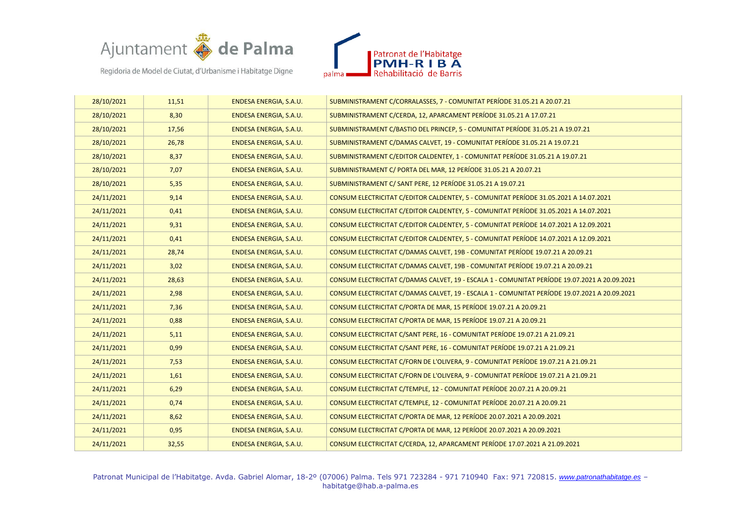



| 28/10/2021 | 11,51 | ENDESA ENERGIA, S.A.U. | SUBMINISTRAMENT C/CORRALASSES, 7 - COMUNITAT PERÍODE 31.05.21 A 20.07.21                      |
|------------|-------|------------------------|-----------------------------------------------------------------------------------------------|
| 28/10/2021 | 8,30  | ENDESA ENERGIA, S.A.U. | SUBMINISTRAMENT C/CERDA, 12, APARCAMENT PERÍODE 31.05.21 A 17.07.21                           |
| 28/10/2021 | 17,56 | ENDESA ENERGIA, S.A.U. | SUBMINISTRAMENT C/BASTIO DEL PRINCEP, 5 - COMUNITAT PERÍODE 31.05.21 A 19.07.21               |
| 28/10/2021 | 26,78 | ENDESA ENERGIA, S.A.U. | SUBMINISTRAMENT C/DAMAS CALVET, 19 - COMUNITAT PERÍODE 31.05.21 A 19.07.21                    |
| 28/10/2021 | 8,37  | ENDESA ENERGIA, S.A.U. | SUBMINISTRAMENT C/EDITOR CALDENTEY, 1 - COMUNITAT PERÍODE 31.05.21 A 19.07.21                 |
| 28/10/2021 | 7,07  | ENDESA ENERGIA, S.A.U. | SUBMINISTRAMENT C/ PORTA DEL MAR, 12 PERÍODE 31.05.21 A 20.07.21                              |
| 28/10/2021 | 5,35  | ENDESA ENERGIA, S.A.U. | SUBMINISTRAMENT C/ SANT PERE, 12 PERÍODE 31.05.21 A 19.07.21                                  |
| 24/11/2021 | 9,14  | ENDESA ENERGIA, S.A.U. | CONSUM ELECTRICITAT C/EDITOR CALDENTEY, 5 - COMUNITAT PERÍODE 31.05.2021 A 14.07.2021         |
| 24/11/2021 | 0,41  | ENDESA ENERGIA, S.A.U. | CONSUM ELECTRICITAT C/EDITOR CALDENTEY, 5 - COMUNITAT PERÍODE 31.05.2021 A 14.07.2021         |
| 24/11/2021 | 9,31  | ENDESA ENERGIA, S.A.U. | CONSUM ELECTRICITAT C/EDITOR CALDENTEY, 5 - COMUNITAT PERÍODE 14.07.2021 A 12.09.2021         |
| 24/11/2021 | 0,41  | ENDESA ENERGIA, S.A.U. | CONSUM ELECTRICITAT C/EDITOR CALDENTEY, 5 - COMUNITAT PERÍODE 14.07.2021 A 12.09.2021         |
| 24/11/2021 | 28,74 | ENDESA ENERGIA, S.A.U. | CONSUM ELECTRICITAT C/DAMAS CALVET, 19B - COMUNITAT PERÍODE 19.07.21 A 20.09.21               |
| 24/11/2021 | 3,02  | ENDESA ENERGIA, S.A.U. | CONSUM ELECTRICITAT C/DAMAS CALVET, 19B - COMUNITAT PERÍODE 19.07.21 A 20.09.21               |
| 24/11/2021 | 28,63 | ENDESA ENERGIA, S.A.U. | CONSUM ELECTRICITAT C/DAMAS CALVET, 19 - ESCALA 1 - COMUNITAT PERÍODE 19.07.2021 A 20.09.2021 |
| 24/11/2021 | 2,98  | ENDESA ENERGIA, S.A.U. | CONSUM ELECTRICITAT C/DAMAS CALVET, 19 - ESCALA 1 - COMUNITAT PERÍODE 19.07.2021 A 20.09.2021 |
| 24/11/2021 | 7,36  | ENDESA ENERGIA, S.A.U. | CONSUM ELECTRICITAT C/PORTA DE MAR, 15 PERÍODE 19.07.21 A 20.09.21                            |
| 24/11/2021 | 0,88  | ENDESA ENERGIA, S.A.U. | CONSUM ELECTRICITAT C/PORTA DE MAR, 15 PERÍODE 19.07.21 A 20.09.21                            |
| 24/11/2021 | 5,11  | ENDESA ENERGIA, S.A.U. | CONSUM ELECTRICITAT C/SANT PERE, 16 - COMUNITAT PERÍODE 19.07.21 A 21.09.21                   |
| 24/11/2021 | 0,99  | ENDESA ENERGIA, S.A.U. | CONSUM ELECTRICITAT C/SANT PERE, 16 - COMUNITAT PERÍODE 19.07.21 A 21.09.21                   |
| 24/11/2021 | 7,53  | ENDESA ENERGIA, S.A.U. | CONSUM ELECTRICITAT C/FORN DE L'OLIVERA, 9 - COMUNITAT PERÍODE 19.07.21 A 21.09.21            |
| 24/11/2021 | 1,61  | ENDESA ENERGIA, S.A.U. | CONSUM ELECTRICITAT C/FORN DE L'OLIVERA, 9 - COMUNITAT PERÍODE 19.07.21 A 21.09.21            |
| 24/11/2021 | 6,29  | ENDESA ENERGIA, S.A.U. | CONSUM ELECTRICITAT C/TEMPLE, 12 - COMUNITAT PERÍODE 20.07.21 A 20.09.21                      |
| 24/11/2021 | 0,74  | ENDESA ENERGIA, S.A.U. | CONSUM ELECTRICITAT C/TEMPLE, 12 - COMUNITAT PERÍODE 20.07.21 A 20.09.21                      |
| 24/11/2021 | 8,62  | ENDESA ENERGIA, S.A.U. | CONSUM ELECTRICITAT C/PORTA DE MAR, 12 PERÍODE 20.07.2021 A 20.09.2021                        |
| 24/11/2021 | 0,95  | ENDESA ENERGIA, S.A.U. | CONSUM ELECTRICITAT C/PORTA DE MAR, 12 PERÍODE 20.07.2021 A 20.09.2021                        |
| 24/11/2021 | 32,55 | ENDESA ENERGIA, S.A.U. | CONSUM ELECTRICITAT C/CERDA, 12, APARCAMENT PERÍODE 17.07.2021 A 21.09.2021                   |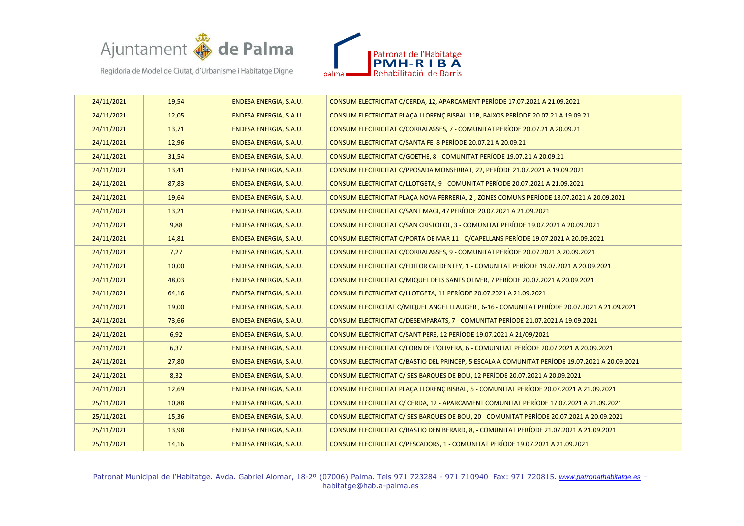



| 24/11/2021 | 19,54 | ENDESA ENERGIA, S.A.U. | CONSUM ELECTRICITAT C/CERDA, 12, APARCAMENT PERÍODE 17.07.2021 A 21.09.2021                    |
|------------|-------|------------------------|------------------------------------------------------------------------------------------------|
| 24/11/2021 | 12,05 | ENDESA ENERGIA, S.A.U. | CONSUM ELECTRICITAT PLACA LLORENC BISBAL 11B, BAIXOS PERÍODE 20.07.21 A 19.09.21               |
| 24/11/2021 | 13,71 | ENDESA ENERGIA, S.A.U. | CONSUM ELECTRICITAT C/CORRALASSES, 7 - COMUNITAT PERÍODE 20.07.21 A 20.09.21                   |
| 24/11/2021 | 12,96 | ENDESA ENERGIA, S.A.U. | CONSUM ELECTRICITAT C/SANTA FE, 8 PERÍODE 20.07.21 A 20.09.21                                  |
| 24/11/2021 | 31,54 | ENDESA ENERGIA, S.A.U. | CONSUM ELECTRICITAT C/GOETHE, 8 - COMUNITAT PERÍODE 19.07.21 A 20.09.21                        |
| 24/11/2021 | 13,41 | ENDESA ENERGIA, S.A.U. | CONSUM ELECTRICITAT C/PPOSADA MONSERRAT, 22, PERÍODE 21.07.2021 A 19.09.2021                   |
| 24/11/2021 | 87,83 | ENDESA ENERGIA, S.A.U. | CONSUM ELECTRICITAT C/LLOTGETA, 9 - COMUNITAT PERÍODE 20.07.2021 A 21.09.2021                  |
| 24/11/2021 | 19,64 | ENDESA ENERGIA, S.A.U. | CONSUM ELECTRICITAT PLAÇA NOVA FERRERIA, 2, ZONES COMUNS PERÍODE 18.07.2021 A 20.09.2021       |
| 24/11/2021 | 13,21 | ENDESA ENERGIA, S.A.U. | CONSUM ELECTRICITAT C/SANT MAGI, 47 PERÍODE 20.07.2021 A 21.09.2021                            |
| 24/11/2021 | 9,88  | ENDESA ENERGIA, S.A.U. | CONSUM ELECTRICITAT C/SAN CRISTOFOL, 3 - COMUNITAT PERÍODE 19.07.2021 A 20.09.2021             |
| 24/11/2021 | 14,81 | ENDESA ENERGIA, S.A.U. | CONSUM ELECTRICITAT C/PORTA DE MAR 11 - C/CAPELLANS PERÍODE 19.07.2021 A 20.09.2021            |
| 24/11/2021 | 7,27  | ENDESA ENERGIA, S.A.U. | CONSUM ELECTRICITAT C/CORRALASSES, 9 - COMUNITAT PERÍODE 20.07.2021 A 20.09.2021               |
| 24/11/2021 | 10,00 | ENDESA ENERGIA, S.A.U. | CONSUM ELECTRICITAT C/EDITOR CALDENTEY, 1 - COMUNITAT PERÍODE 19.07.2021 A 20.09.2021          |
| 24/11/2021 | 48,03 | ENDESA ENERGIA, S.A.U. | CONSUM ELECTRICITAT C/MIQUEL DELS SANTS OLIVER, 7 PERÍODE 20.07.2021 A 20.09.2021              |
| 24/11/2021 | 64,16 | ENDESA ENERGIA, S.A.U. | CONSUM ELECTRICITAT C/LLOTGETA, 11 PERÍODE 20.07.2021 A 21.09.2021                             |
| 24/11/2021 | 19,00 | ENDESA ENERGIA, S.A.U. | CONSUM ELECTRCITAT C/MIQUEL ANGEL LLAUGER, 6-16 - COMUNITAT PERÍODE 20.07.2021 A 21.09.2021    |
| 24/11/2021 | 73,66 | ENDESA ENERGIA, S.A.U. | CONSUM ELECTRICITAT C/DESEMPARATS, 7 - COMUNITAT PERÍODE 21.07.2021 A 19.09.2021               |
| 24/11/2021 | 6,92  | ENDESA ENERGIA, S.A.U. | CONSUM ELECTRICITAT C/SANT PERE, 12 PERÍODE 19.07.2021 A 21/09/2021                            |
| 24/11/2021 | 6,37  | ENDESA ENERGIA, S.A.U. | CONSUM ELECTRICITAT C/FORN DE L'OLIVERA, 6 - COMUINITAT PERÍODE 20.07.2021 A 20.09.2021        |
| 24/11/2021 | 27,80 | ENDESA ENERGIA, S.A.U. | CONSUM ELECTRICITAT C/BASTIO DEL PRINCEP, 5 ESCALA A COMUNITAT PERÍODE 19.07.2021 A 20.09.2021 |
| 24/11/2021 | 8,32  | ENDESA ENERGIA, S.A.U. | CONSUM ELECTRICITAT C/ SES BARQUES DE BOU, 12 PERÍODE 20.07.2021 A 20.09.2021                  |
| 24/11/2021 | 12,69 | ENDESA ENERGIA, S.A.U. | CONSUM ELECTRICITAT PLACA LLORENC BISBAL, 5 - COMUNITAT PERÍODE 20.07.2021 A 21.09.2021        |
| 25/11/2021 | 10,88 | ENDESA ENERGIA, S.A.U. | CONSUM ELECTRICITAT C/ CERDA, 12 - APARCAMENT COMUNITAT PERÍODE 17.07.2021 A 21.09.2021        |
| 25/11/2021 | 15,36 | ENDESA ENERGIA, S.A.U. | CONSUM ELECTRICITAT C/ SES BARQUES DE BOU, 20 - COMUNITAT PERÍODE 20.07.2021 A 20.09.2021      |
| 25/11/2021 | 13,98 | ENDESA ENERGIA, S.A.U. | CONSUM ELECTRICITAT C/BASTIO DEN BERARD, 8, - COMUNITAT PERÍODE 21.07.2021 A 21.09.2021        |
| 25/11/2021 | 14,16 | ENDESA ENERGIA, S.A.U. | CONSUM ELECTRICITAT C/PESCADORS, 1 - COMUNITAT PERÍODE 19.07.2021 A 21.09.2021                 |